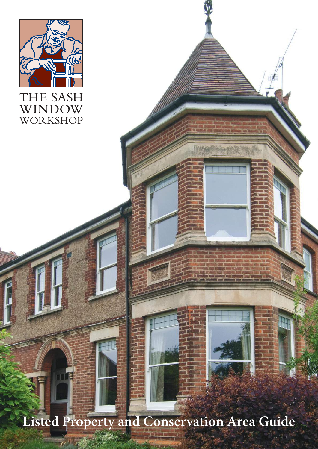

## THE SASH **WINDOW**<br>WORKSHOP

**Listed Property and Conservation Area Guide**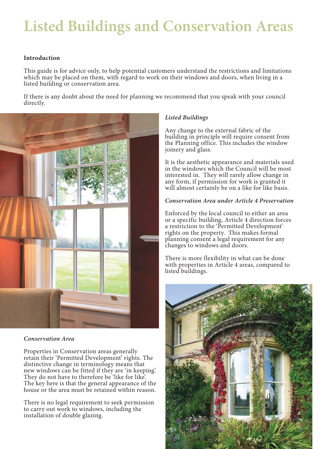## **Listed Buildings and Conservation Areas**

### **Introduction**

This guide is for advice only, to help potential customers understand the restrictions and limitations which may be placed on them, with regard to work on their windows and doors, when living in a listed building or conservation area.

If there is any doubt about the need for planning we recommend that you speak with your council directly.



#### *Conservation Area*

Properties in Conservation areas generally retain their 'Permitted Development' rights. The distinctive change in terminology means that new windows can be fitted if they are 'in keeping'. They do not have to therefore be 'like for like'. The key here is that the general appearance of the house or the area must be retained within reason.

There is no legal requirement to seek permission to carry out work to windows, including the installation of double glazing.

### *Listed Buildings*

Any change to the external fabric of the building in principle will require consent from the Planning office. This includes the window joinery and glass.

It is the aesthetic appearance and materials used in the windows which the Council will be most interested in. They will rarely allow change in any form, if permission for work is granted it will almost certainly be on a like for like basis.

### *Conservation Area under Article 4 Preservation*

Enforced by the local council to either an area or a specific building, Article 4 direction forces a restriction to the 'Permitted Development' rights on the property. This makes formal planning consent a legal requirement for any changes to windows and doors.

There is more flexibility in what can be done with properties in Article 4 areas, compared to listed buildings.

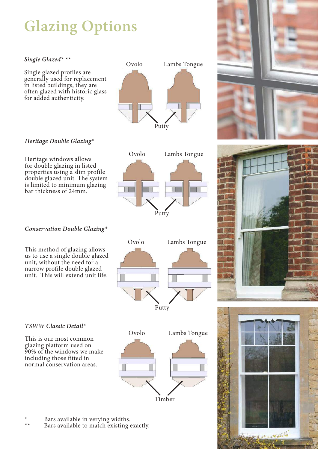# **Glazing Options**

### *Single Glazed\* \*\**

Single glazed profiles are generally used for replacement in listed buildings, they are often glazed with historic glass for added authenticity.

## *Heritage Double Glazing\**

Heritage windows allows for double glazing in listed properties using a slim profile double glazed unit. The system is limited to minimum glazing bar thickness of 24mm.



This method of glazing allows us to use a single double glazed unit, without the need for a narrow profile double glazed unit. This will extend unit life.



Putty

### *TSWW Classic Detail\**

This is our most common glazing platform used on 90% of the windows we make including those fitted in normal conservation areas.



- \* Bars available in verying widths.
- Bars available to match existing exactly.



Ovolo Lambs Tongue